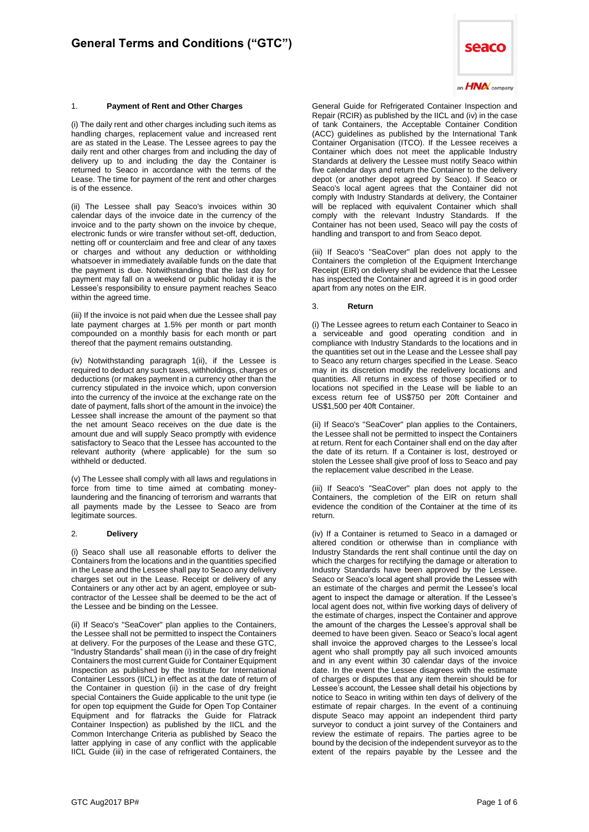# 1. **Payment of Rent and Other Charges**

(i) The daily rent and other charges including such items as handling charges, replacement value and increased rent are as stated in the Lease. The Lessee agrees to pay the daily rent and other charges from and including the day of delivery up to and including the day the Container is returned to Seaco in accordance with the terms of the Lease. The time for payment of the rent and other charges is of the essence.

(ii) The Lessee shall pay Seaco's invoices within 30 calendar days of the invoice date in the currency of the invoice and to the party shown on the invoice by cheque, electronic funds or wire transfer without set-off, deduction, netting off or counterclaim and free and clear of any taxes or charges and without any deduction or withholding whatsoever in immediately available funds on the date that the payment is due. Notwithstanding that the last day for payment may fall on a weekend or public holiday it is the Lessee's responsibility to ensure payment reaches Seaco within the agreed time.

(iii) If the invoice is not paid when due the Lessee shall pay late payment charges at 1.5% per month or part month compounded on a monthly basis for each month or part thereof that the payment remains outstanding.

(iv) Notwithstanding paragraph 1(ii), if the Lessee is required to deduct any such taxes, withholdings, charges or deductions (or makes payment in a currency other than the currency stipulated in the invoice which, upon conversion into the currency of the invoice at the exchange rate on the date of payment, falls short of the amount in the invoice) the Lessee shall increase the amount of the payment so that the net amount Seaco receives on the due date is the amount due and will supply Seaco promptly with evidence satisfactory to Seaco that the Lessee has accounted to the relevant authority (where applicable) for the sum so withheld or deducted.

(v) The Lessee shall comply with all laws and regulations in force from time to time aimed at combating moneylaundering and the financing of terrorism and warrants that all payments made by the Lessee to Seaco are from legitimate sources.

## 2. **Delivery**

(i) Seaco shall use all reasonable efforts to deliver the Containers from the locations and in the quantities specified in the Lease and the Lessee shall pay to Seaco any delivery charges set out in the Lease. Receipt or delivery of any Containers or any other act by an agent, employee or subcontractor of the Lessee shall be deemed to be the act of the Lessee and be binding on the Lessee.

(ii) If Seaco's "SeaCover" plan applies to the Containers, the Lessee shall not be permitted to inspect the Containers at delivery. For the purposes of the Lease and these GTC, "Industry Standards" shall mean (i) in the case of dry freight Containers the most current Guide for Container Equipment Inspection as published by the Institute for International Container Lessors (IICL) in effect as at the date of return of the Container in question (ii) in the case of dry freight special Containers the Guide applicable to the unit type (ie for open top equipment the Guide for Open Top Container Equipment and for flatracks the Guide for Flatrack Container Inspection) as published by the IICL and the Common Interchange Criteria as published by Seaco the latter applying in case of any conflict with the applicable IICL Guide (iii) in the case of refrigerated Containers, the



General Guide for Refrigerated Container Inspection and Repair (RCIR) as published by the IICL and (iv) in the case of tank Containers, the Acceptable Container Condition (ACC) guidelines as published by the International Tank Container Organisation (ITCO). If the Lessee receives a Container which does not meet the applicable Industry Standards at delivery the Lessee must notify Seaco within five calendar days and return the Container to the delivery depot (or another depot agreed by Seaco). If Seaco or Seaco's local agent agrees that the Container did not comply with Industry Standards at delivery, the Container will be replaced with equivalent Container which shall comply with the relevant Industry Standards. If the Container has not been used, Seaco will pay the costs of handling and transport to and from Seaco depot.

(iii) If Seaco's "SeaCover" plan does not apply to the Containers the completion of the Equipment Interchange Receipt (EIR) on delivery shall be evidence that the Lessee has inspected the Container and agreed it is in good order apart from any notes on the EIR.

#### 3. **Return**

(i) The Lessee agrees to return each Container to Seaco in a serviceable and good operating condition and in compliance with Industry Standards to the locations and in the quantities set out in the Lease and the Lessee shall pay to Seaco any return charges specified in the Lease. Seaco may in its discretion modify the redelivery locations and quantities. All returns in excess of those specified or to locations not specified in the Lease will be liable to an excess return fee of US\$750 per 20ft Container and US\$1,500 per 40ft Container.

(ii) If Seaco's "SeaCover" plan applies to the Containers, the Lessee shall not be permitted to inspect the Containers at return. Rent for each Container shall end on the day after the date of its return. If a Container is lost, destroyed or stolen the Lessee shall give proof of loss to Seaco and pay the replacement value described in the Lease.

(iii) If Seaco's "SeaCover" plan does not apply to the Containers, the completion of the EIR on return shall evidence the condition of the Container at the time of its return.

(iv) If a Container is returned to Seaco in a damaged or altered condition or otherwise than in compliance with Industry Standards the rent shall continue until the day on which the charges for rectifying the damage or alteration to Industry Standards have been approved by the Lessee. Seaco or Seaco's local agent shall provide the Lessee with an estimate of the charges and permit the Lessee's local agent to inspect the damage or alteration. If the Lessee's local agent does not, within five working days of delivery of the estimate of charges, inspect the Container and approve the amount of the charges the Lessee's approval shall be deemed to have been given. Seaco or Seaco's local agent shall invoice the approved charges to the Lessee's local agent who shall promptly pay all such invoiced amounts and in any event within 30 calendar days of the invoice date. In the event the Lessee disagrees with the estimate of charges or disputes that any item therein should be for Lessee's account, the Lessee shall detail his objections by notice to Seaco in writing within ten days of delivery of the estimate of repair charges. In the event of a continuing dispute Seaco may appoint an independent third party surveyor to conduct a joint survey of the Containers and review the estimate of repairs. The parties agree to be bound by the decision of the independent surveyor as to the extent of the repairs payable by the Lessee and the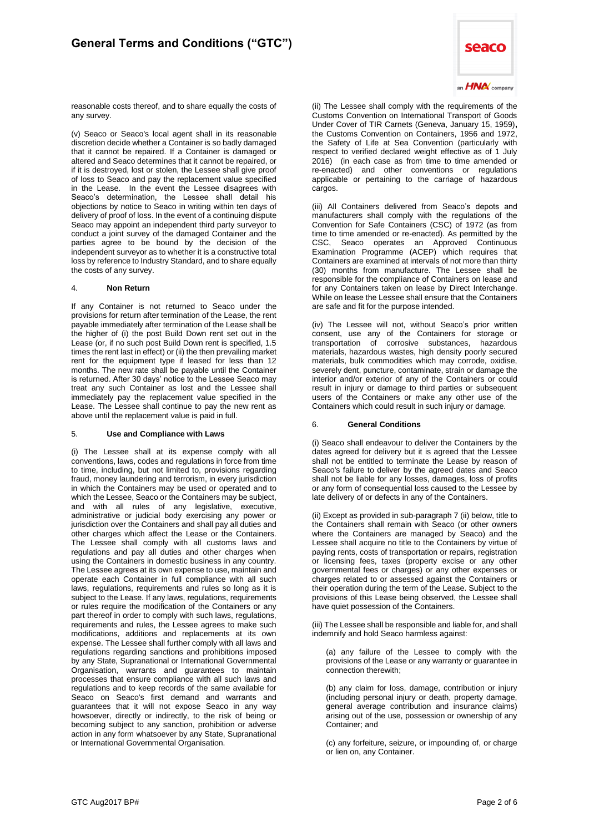

reasonable costs thereof, and to share equally the costs of any survey.

(v) Seaco or Seaco's local agent shall in its reasonable discretion decide whether a Container is so badly damaged that it cannot be repaired. If a Container is damaged or altered and Seaco determines that it cannot be repaired, or if it is destroyed, lost or stolen, the Lessee shall give proof of loss to Seaco and pay the replacement value specified in the Lease. In the event the Lessee disagrees with Seaco's determination, the Lessee shall detail his objections by notice to Seaco in writing within ten days of delivery of proof of loss. In the event of a continuing dispute Seaco may appoint an independent third party surveyor to conduct a joint survey of the damaged Container and the parties agree to be bound by the decision of the independent surveyor as to whether it is a constructive total loss by reference to Industry Standard, and to share equally the costs of any survey.

# 4. **Non Return**

If any Container is not returned to Seaco under the provisions for return after termination of the Lease, the rent payable immediately after termination of the Lease shall be the higher of (i) the post Build Down rent set out in the Lease (or, if no such post Build Down rent is specified, 1.5 times the rent last in effect) or (ii) the then prevailing market rent for the equipment type if leased for less than 12 months. The new rate shall be payable until the Container is returned. After 30 days' notice to the Lessee Seaco may treat any such Container as lost and the Lessee shall immediately pay the replacement value specified in the Lease. The Lessee shall continue to pay the new rent as above until the replacement value is paid in full.

# 5. **Use and Compliance with Laws**

(i) The Lessee shall at its expense comply with all conventions, laws, codes and regulations in force from time to time, including, but not limited to, provisions regarding fraud, money laundering and terrorism, in every jurisdiction in which the Containers may be used or operated and to which the Lessee, Seaco or the Containers may be subject, and with all rules of any legislative, executive, administrative or judicial body exercising any power or jurisdiction over the Containers and shall pay all duties and other charges which affect the Lease or the Containers. The Lessee shall comply with all customs laws and regulations and pay all duties and other charges when using the Containers in domestic business in any country. The Lessee agrees at its own expense to use, maintain and operate each Container in full compliance with all such laws, regulations, requirements and rules so long as it is subject to the Lease. If any laws, regulations, requirements or rules require the modification of the Containers or any part thereof in order to comply with such laws, regulations, requirements and rules, the Lessee agrees to make such modifications, additions and replacements at its own expense. The Lessee shall further comply with all laws and regulations regarding sanctions and prohibitions imposed by any State, Supranational or International Governmental Organisation, warrants and guarantees to maintain processes that ensure compliance with all such laws and regulations and to keep records of the same available for Seaco on Seaco's first demand and warrants and guarantees that it will not expose Seaco in any way howsoever, directly or indirectly, to the risk of being or becoming subject to any sanction, prohibition or adverse action in any form whatsoever by any State, Supranational or International Governmental Organisation.

(ii) The Lessee shall comply with the requirements of the Customs Convention on International Transport of Goods Under Cover of TIR Carnets (Geneva, January 15, 1959)**,**  the Customs Convention on Containers, 1956 and 1972, the Safety of Life at Sea Convention (particularly with respect to verified declared weight effective as of 1 July 2016) (in each case as from time to time amended or re-enacted) and other conventions or regulations applicable or pertaining to the carriage of hazardous cargos.

(iii) All Containers delivered from Seaco's depots and manufacturers shall comply with the regulations of the Convention for Safe Containers (CSC) of 1972 (as from time to time amended or re-enacted). As permitted by the CSC, Seaco operates an Approved Continuous Examination Programme (ACEP) which requires that Containers are examined at intervals of not more than thirty (30) months from manufacture. The Lessee shall be responsible for the compliance of Containers on lease and for any Containers taken on lease by Direct Interchange. While on lease the Lessee shall ensure that the Containers are safe and fit for the purpose intended.

(iv) The Lessee will not, without Seaco's prior written consent, use any of the Containers for storage or transportation of corrosive substances, hazardous materials, hazardous wastes, high density poorly secured materials, bulk commodities which may corrode, oxidise, severely dent, puncture, contaminate, strain or damage the interior and/or exterior of any of the Containers or could result in injury or damage to third parties or subsequent users of the Containers or make any other use of the Containers which could result in such injury or damage.

# 6. **General Conditions**

(i) Seaco shall endeavour to deliver the Containers by the dates agreed for delivery but it is agreed that the Lessee shall not be entitled to terminate the Lease by reason of Seaco's failure to deliver by the agreed dates and Seaco shall not be liable for any losses, damages, loss of profits or any form of consequential loss caused to the Lessee by late delivery of or defects in any of the Containers.

(ii) Except as provided in sub-paragraph 7 (ii) below, title to the Containers shall remain with Seaco (or other owners where the Containers are managed by Seaco) and the Lessee shall acquire no title to the Containers by virtue of paying rents, costs of transportation or repairs, registration or licensing fees, taxes (property excise or any other governmental fees or charges) or any other expenses or charges related to or assessed against the Containers or their operation during the term of the Lease. Subject to the provisions of this Lease being observed, the Lessee shall have quiet possession of the Containers.

(iii) The Lessee shall be responsible and liable for, and shall indemnify and hold Seaco harmless against:

(a) any failure of the Lessee to comply with the provisions of the Lease or any warranty or guarantee in connection therewith;

(b) any claim for loss, damage, contribution or injury (including personal injury or death, property damage, general average contribution and insurance claims) arising out of the use, possession or ownership of any Container; and

(c) any forfeiture, seizure, or impounding of, or charge or lien on, any Container.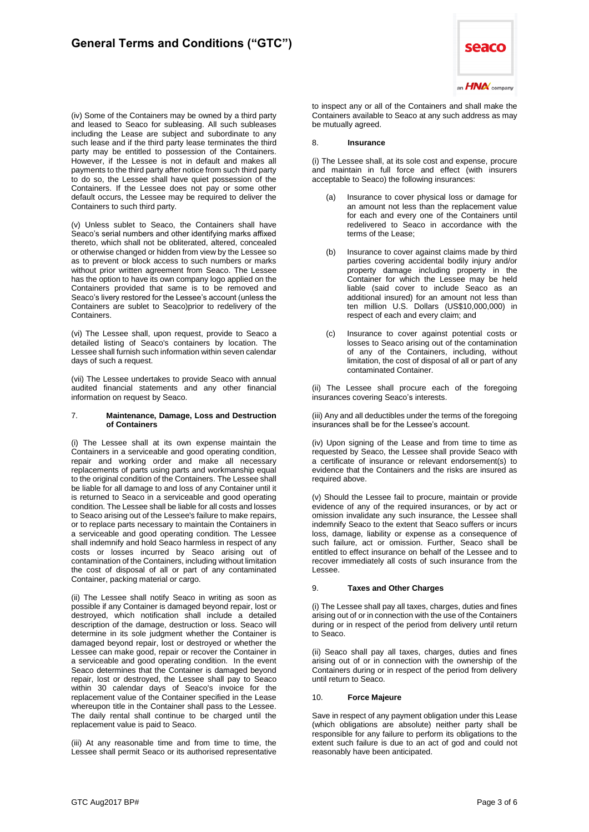

(v) Unless sublet to Seaco, the Containers shall have Seaco's serial numbers and other identifying marks affixed thereto, which shall not be obliterated, altered, concealed or otherwise changed or hidden from view by the Lessee so as to prevent or block access to such numbers or marks without prior written agreement from Seaco. The Lessee has the option to have its own company logo applied on the Containers provided that same is to be removed and Seaco's livery restored for the Lessee's account (unless the Containers are sublet to Seaco)prior to redelivery of the Containers.

(vi) The Lessee shall, upon request, provide to Seaco a detailed listing of Seaco's containers by location. The Lessee shall furnish such information within seven calendar days of such a request.

(vii) The Lessee undertakes to provide Seaco with annual audited financial statements and any other financial information on request by Seaco.

# 7. **Maintenance, Damage, Loss and Destruction of Containers**

(i) The Lessee shall at its own expense maintain the Containers in a serviceable and good operating condition, repair and working order and make all necessary replacements of parts using parts and workmanship equal to the original condition of the Containers. The Lessee shall be liable for all damage to and loss of any Container until it is returned to Seaco in a serviceable and good operating condition. The Lessee shall be liable for all costs and losses to Seaco arising out of the Lessee's failure to make repairs, or to replace parts necessary to maintain the Containers in a serviceable and good operating condition. The Lessee shall indemnify and hold Seaco harmless in respect of any costs or losses incurred by Seaco arising out of contamination of the Containers, including without limitation the cost of disposal of all or part of any contaminated Container, packing material or cargo.

(ii) The Lessee shall notify Seaco in writing as soon as possible if any Container is damaged beyond repair, lost or destroyed, which notification shall include a detailed description of the damage, destruction or loss. Seaco will determine in its sole judgment whether the Container is damaged beyond repair, lost or destroyed or whether the Lessee can make good, repair or recover the Container in a serviceable and good operating condition. In the event Seaco determines that the Container is damaged beyond repair, lost or destroyed, the Lessee shall pay to Seaco within 30 calendar days of Seaco's invoice for the replacement value of the Container specified in the Lease whereupon title in the Container shall pass to the Lessee. The daily rental shall continue to be charged until the replacement value is paid to Seaco.

(iii) At any reasonable time and from time to time, the Lessee shall permit Seaco or its authorised representative



to inspect any or all of the Containers and shall make the Containers available to Seaco at any such address as may be mutually agreed.

# 8. **Insurance**

(i) The Lessee shall, at its sole cost and expense, procure and maintain in full force and effect (with insurers acceptable to Seaco) the following insurances:

- Insurance to cover physical loss or damage for an amount not less than the replacement value for each and every one of the Containers until redelivered to Seaco in accordance with the terms of the Lease;
- (b) Insurance to cover against claims made by third parties covering accidental bodily injury and/or property damage including property in the Container for which the Lessee may be held liable (said cover to include Seaco as an additional insured) for an amount not less than ten million U.S. Dollars (US\$10,000,000) in respect of each and every claim; and
- (c) Insurance to cover against potential costs or losses to Seaco arising out of the contamination of any of the Containers, including, without limitation, the cost of disposal of all or part of any contaminated Container.

(ii) The Lessee shall procure each of the foregoing insurances covering Seaco's interests.

(iii) Any and all deductibles under the terms of the foregoing insurances shall be for the Lessee's account.

(iv) Upon signing of the Lease and from time to time as requested by Seaco, the Lessee shall provide Seaco with a certificate of insurance or relevant endorsement(s) to evidence that the Containers and the risks are insured as required above.

(v) Should the Lessee fail to procure, maintain or provide evidence of any of the required insurances, or by act or omission invalidate any such insurance, the Lessee shall indemnify Seaco to the extent that Seaco suffers or incurs loss, damage, liability or expense as a consequence of such failure, act or omission. Further, Seaco shall be entitled to effect insurance on behalf of the Lessee and to recover immediately all costs of such insurance from the Lessee.

# 9. **Taxes and Other Charges**

(i) The Lessee shall pay all taxes, charges, duties and fines arising out of or in connection with the use of the Containers during or in respect of the period from delivery until return to Seaco.

(ii) Seaco shall pay all taxes, charges, duties and fines arising out of or in connection with the ownership of the Containers during or in respect of the period from delivery until return to Seaco.

# 10. **Force Majeure**

Save in respect of any payment obligation under this Lease (which obligations are absolute) neither party shall be responsible for any failure to perform its obligations to the extent such failure is due to an act of god and could not reasonably have been anticipated.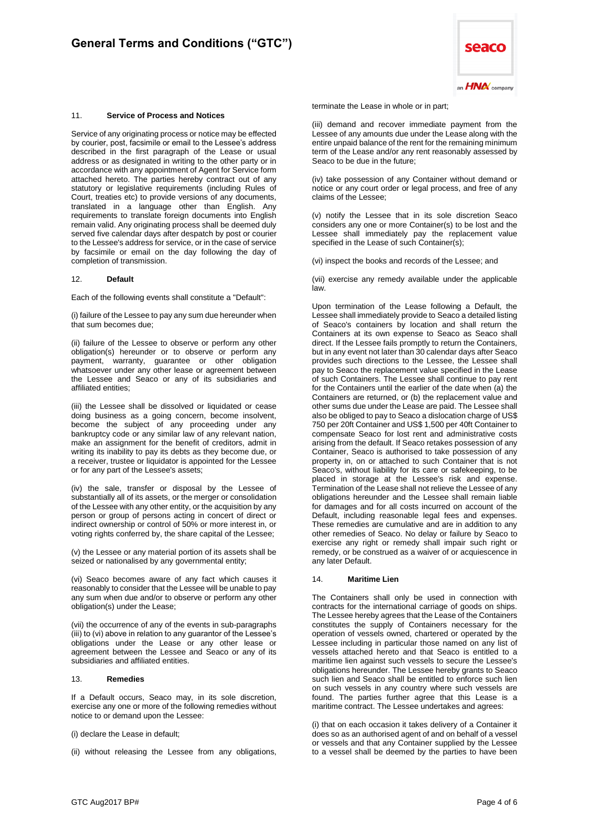#### 11. **Service of Process and Notices**

Service of any originating process or notice may be effected by courier, post, facsimile or email to the Lessee's address described in the first paragraph of the Lease or usual address or as designated in writing to the other party or in accordance with any appointment of Agent for Service form attached hereto. The parties hereby contract out of any statutory or legislative requirements (including Rules of Court, treaties etc) to provide versions of any documents, translated in a language other than English. Any requirements to translate foreign documents into English remain valid. Any originating process shall be deemed duly served five calendar days after despatch by post or courier to the Lessee's address for service, or in the case of service by facsimile or email on the day following the day of completion of transmission.

#### 12. **Default**

Each of the following events shall constitute a "Default":

(i) failure of the Lessee to pay any sum due hereunder when that sum becomes due;

(ii) failure of the Lessee to observe or perform any other obligation(s) hereunder or to observe or perform any payment, warranty, guarantee or other obligation whatsoever under any other lease or agreement between the Lessee and Seaco or any of its subsidiaries and affiliated entities;

(iii) the Lessee shall be dissolved or liquidated or cease doing business as a going concern, become insolvent, become the subject of any proceeding under any bankruptcy code or any similar law of any relevant nation, make an assignment for the benefit of creditors, admit in writing its inability to pay its debts as they become due, or a receiver, trustee or liquidator is appointed for the Lessee or for any part of the Lessee's assets;

(iv) the sale, transfer or disposal by the Lessee of substantially all of its assets, or the merger or consolidation of the Lessee with any other entity, or the acquisition by any person or group of persons acting in concert of direct or indirect ownership or control of 50% or more interest in, or voting rights conferred by, the share capital of the Lessee;

(v) the Lessee or any material portion of its assets shall be seized or nationalised by any governmental entity;

(vi) Seaco becomes aware of any fact which causes it reasonably to consider that the Lessee will be unable to pay any sum when due and/or to observe or perform any other obligation(s) under the Lease;

(vii) the occurrence of any of the events in sub-paragraphs (iii) to (vi) above in relation to any guarantor of the Lessee's obligations under the Lease or any other lease or agreement between the Lessee and Seaco or any of its subsidiaries and affiliated entities.

#### 13. **Remedies**

If a Default occurs, Seaco may, in its sole discretion, exercise any one or more of the following remedies without notice to or demand upon the Lessee:

(i) declare the Lease in default;

(ii) without releasing the Lessee from any obligations,



terminate the Lease in whole or in part;

(iii) demand and recover immediate payment from the Lessee of any amounts due under the Lease along with the entire unpaid balance of the rent for the remaining minimum term of the Lease and/or any rent reasonably assessed by Seaco to be due in the future;

(iv) take possession of any Container without demand or notice or any court order or legal process, and free of any claims of the Lessee;

(v) notify the Lessee that in its sole discretion Seaco considers any one or more Container(s) to be lost and the Lessee shall immediately pay the replacement value specified in the Lease of such Container(s);

(vi) inspect the books and records of the Lessee; and

(vii) exercise any remedy available under the applicable law.

Upon termination of the Lease following a Default, the Lessee shall immediately provide to Seaco a detailed listing of Seaco's containers by location and shall return the Containers at its own expense to Seaco as Seaco shall direct. If the Lessee fails promptly to return the Containers, but in any event not later than 30 calendar days after Seaco provides such directions to the Lessee, the Lessee shall pay to Seaco the replacement value specified in the Lease of such Containers. The Lessee shall continue to pay rent for the Containers until the earlier of the date when (a) the Containers are returned, or (b) the replacement value and other sums due under the Lease are paid. The Lessee shall also be obliged to pay to Seaco a dislocation charge of US\$ 750 per 20ft Container and US\$ 1,500 per 40ft Container to compensate Seaco for lost rent and administrative costs arising from the default. If Seaco retakes possession of any Container, Seaco is authorised to take possession of any property in, on or attached to such Container that is not Seaco's, without liability for its care or safekeeping, to be placed in storage at the Lessee's risk and expense. Termination of the Lease shall not relieve the Lessee of any obligations hereunder and the Lessee shall remain liable for damages and for all costs incurred on account of the Default, including reasonable legal fees and expenses. These remedies are cumulative and are in addition to any other remedies of Seaco. No delay or failure by Seaco to exercise any right or remedy shall impair such right or remedy, or be construed as a waiver of or acquiescence in any later Default.

# 14. **Maritime Lien**

The Containers shall only be used in connection with contracts for the international carriage of goods on ships. The Lessee hereby agrees that the Lease of the Containers constitutes the supply of Containers necessary for the operation of vessels owned, chartered or operated by the Lessee including in particular those named on any list of vessels attached hereto and that Seaco is entitled to a maritime lien against such vessels to secure the Lessee's obligations hereunder. The Lessee hereby grants to Seaco such lien and Seaco shall be entitled to enforce such lien on such vessels in any country where such vessels are found. The parties further agree that this Lease is a maritime contract. The Lessee undertakes and agrees:

(i) that on each occasion it takes delivery of a Container it does so as an authorised agent of and on behalf of a vessel or vessels and that any Container supplied by the Lessee to a vessel shall be deemed by the parties to have been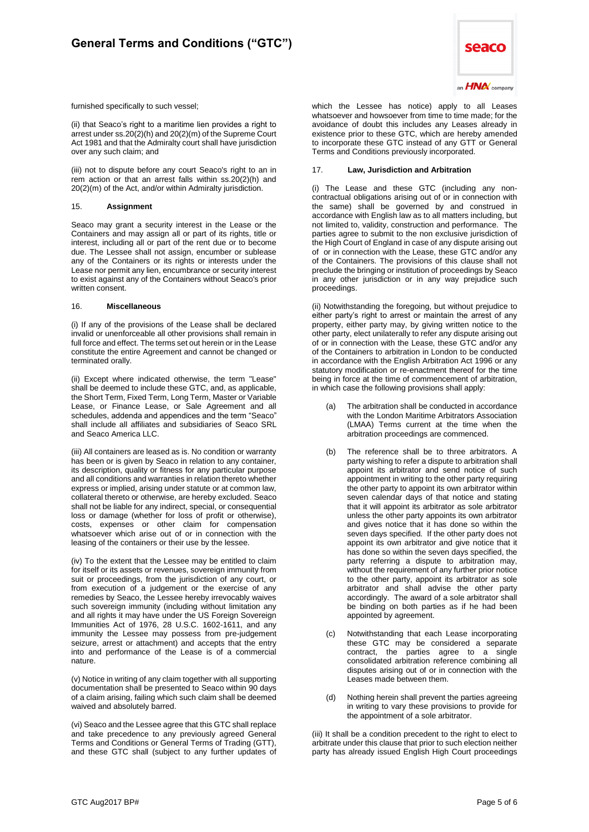

furnished specifically to such vessel;

(ii) that Seaco's right to a maritime lien provides a right to arrest under ss.20(2)(h) and 20(2)(m) of the Supreme Court Act 1981 and that the Admiralty court shall have jurisdiction over any such claim; and

(iii) not to dispute before any court Seaco's right to an in rem action or that an arrest falls within ss.20(2)(h) and 20(2)(m) of the Act, and/or within Admiralty jurisdiction.

#### 15. **Assignment**

Seaco may grant a security interest in the Lease or the Containers and may assign all or part of its rights, title or interest, including all or part of the rent due or to become due. The Lessee shall not assign, encumber or sublease any of the Containers or its rights or interests under the Lease nor permit any lien, encumbrance or security interest to exist against any of the Containers without Seaco's prior written consent.

#### 16. **Miscellaneous**

(i) If any of the provisions of the Lease shall be declared invalid or unenforceable all other provisions shall remain in full force and effect. The terms set out herein or in the Lease constitute the entire Agreement and cannot be changed or terminated orally.

(ii) Except where indicated otherwise, the term "Lease" shall be deemed to include these GTC, and, as applicable, the Short Term, Fixed Term, Long Term, Master or Variable Lease, or Finance Lease, or Sale Agreement and all schedules, addenda and appendices and the term "Seaco" shall include all affiliates and subsidiaries of Seaco SRL and Seaco America LLC.

(iii) All containers are leased as is. No condition or warranty has been or is given by Seaco in relation to any container, its description, quality or fitness for any particular purpose and all conditions and warranties in relation thereto whether express or implied, arising under statute or at common law, collateral thereto or otherwise, are hereby excluded. Seaco shall not be liable for any indirect, special, or consequential loss or damage (whether for loss of profit or otherwise), costs, expenses or other claim for compensation whatsoever which arise out of or in connection with the leasing of the containers or their use by the lessee.

(iv) To the extent that the Lessee may be entitled to claim for itself or its assets or revenues, sovereign immunity from suit or proceedings, from the jurisdiction of any court, or from execution of a judgement or the exercise of any remedies by Seaco, the Lessee hereby irrevocably waives such sovereign immunity (including without limitation any and all rights it may have under the US Foreign Sovereign Immunities Act of 1976, 28 U.S.C. 1602-1611, and any immunity the Lessee may possess from pre-judgement seizure, arrest or attachment) and accepts that the entry into and performance of the Lease is of a commercial nature.

(v) Notice in writing of any claim together with all supporting documentation shall be presented to Seaco within 90 days of a claim arising, failing which such claim shall be deemed waived and absolutely barred.

(vi) Seaco and the Lessee agree that this GTC shall replace and take precedence to any previously agreed General Terms and Conditions or General Terms of Trading (GTT), and these GTC shall (subject to any further updates of which the Lessee has notice) apply to all Leases whatsoever and howsoever from time to time made; for the avoidance of doubt this includes any Leases already in existence prior to these GTC, which are hereby amended to incorporate these GTC instead of any GTT or General Terms and Conditions previously incorporated.

# 17. **Law, Jurisdiction and Arbitration**

(i) The Lease and these GTC (including any noncontractual obligations arising out of or in connection with the same) shall be governed by and construed in accordance with English law as to all matters including, but not limited to, validity, construction and performance. The parties agree to submit to the non exclusive jurisdiction of the High Court of England in case of any dispute arising out of or in connection with the Lease, these GTC and/or any of the Containers. The provisions of this clause shall not preclude the bringing or institution of proceedings by Seaco in any other jurisdiction or in any way prejudice such proceedings.

(ii) Notwithstanding the foregoing, but without prejudice to either party's right to arrest or maintain the arrest of any property, either party may, by giving written notice to the other party, elect unilaterally to refer any dispute arising out of or in connection with the Lease, these GTC and/or any of the Containers to arbitration in London to be conducted in accordance with the English Arbitration Act 1996 or any statutory modification or re-enactment thereof for the time being in force at the time of commencement of arbitration, in which case the following provisions shall apply:

- (a) The arbitration shall be conducted in accordance with the London Maritime Arbitrators Association (LMAA) Terms current at the time when the arbitration proceedings are commenced.
- (b) The reference shall be to three arbitrators. A party wishing to refer a dispute to arbitration shall appoint its arbitrator and send notice of such appointment in writing to the other party requiring the other party to appoint its own arbitrator within seven calendar days of that notice and stating that it will appoint its arbitrator as sole arbitrator unless the other party appoints its own arbitrator and gives notice that it has done so within the seven days specified. If the other party does not appoint its own arbitrator and give notice that it has done so within the seven days specified, the party referring a dispute to arbitration may, without the requirement of any further prior notice to the other party, appoint its arbitrator as sole arbitrator and shall advise the other party accordingly. The award of a sole arbitrator shall be binding on both parties as if he had been appointed by agreement.
- (c) Notwithstanding that each Lease incorporating these GTC may be considered a separate contract, the parties agree to a single consolidated arbitration reference combining all disputes arising out of or in connection with the Leases made between them.
- (d) Nothing herein shall prevent the parties agreeing in writing to vary these provisions to provide for the appointment of a sole arbitrator.

(iii) It shall be a condition precedent to the right to elect to arbitrate under this clause that prior to such election neither party has already issued English High Court proceedings